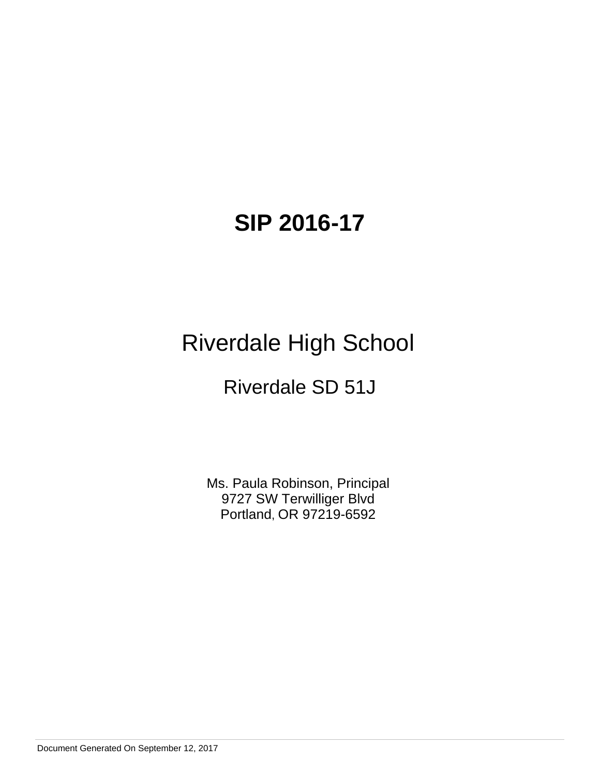# **SIP 2016-17**

# Riverdale High School

# Riverdale SD 51J

Ms. Paula Robinson, Principal 9727 SW Terwilliger Blvd Portland, OR 97219-6592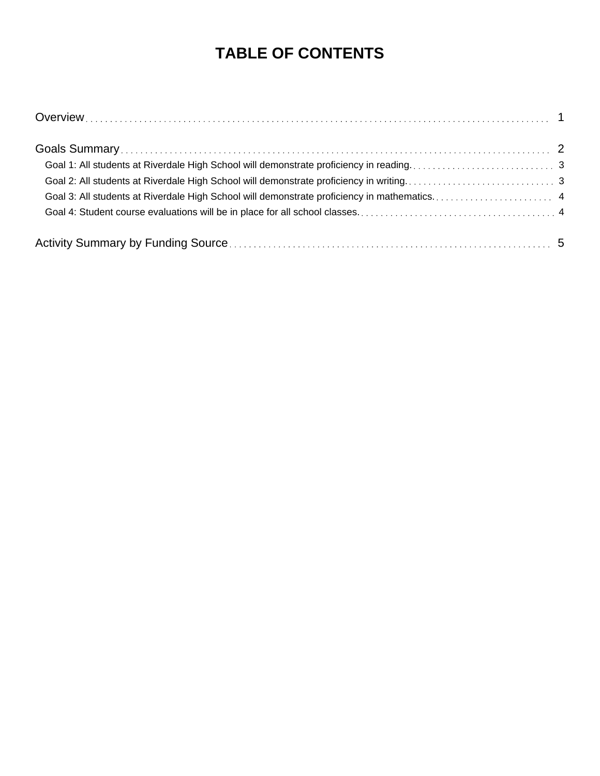## **TABLE OF CONTENTS**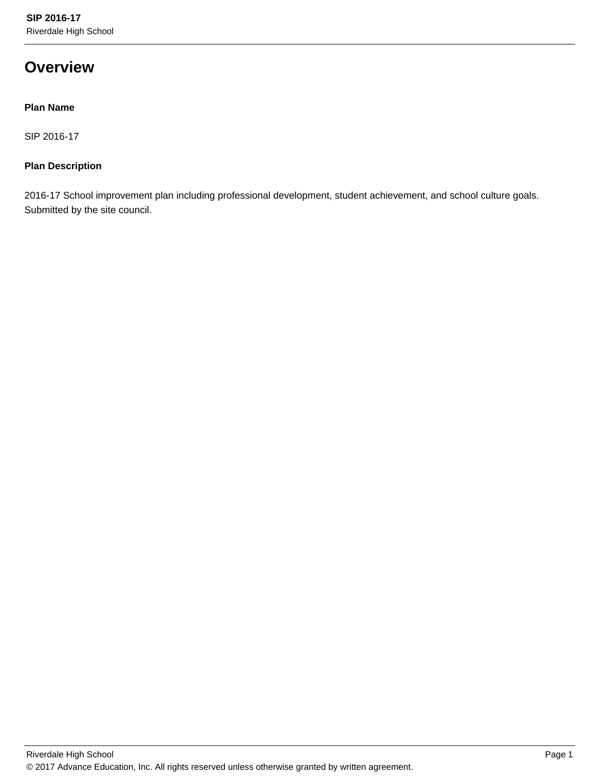## **Overview**

## **Plan Name**

SIP 2016-17

## **Plan Description**

2016-17 School improvement plan including professional development, student achievement, and school culture goals. Submitted by the site council.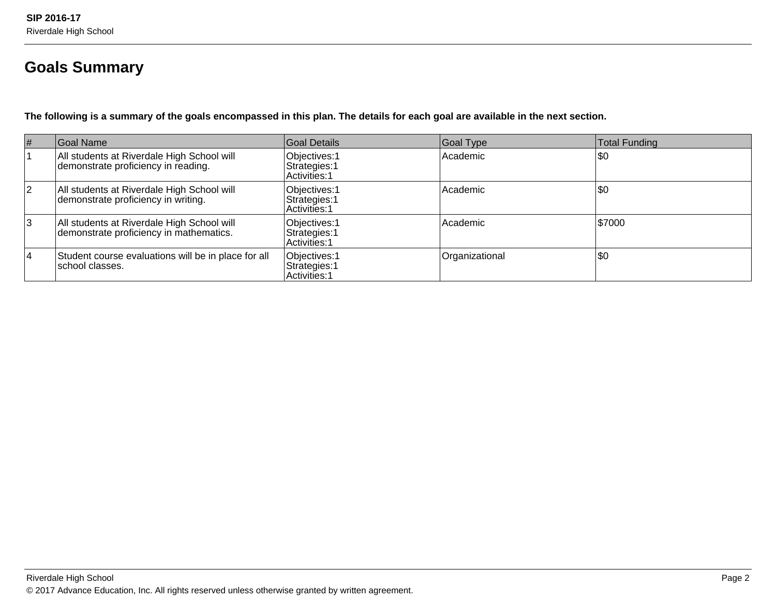## **Goals Summary**

**The following is a summary of the goals encompassed in this plan. The details for each goal are available in the next section.**

| #  | Goal Name                                                                             | Goal Details                                    | Goal Type      | <b>Total Funding</b> |
|----|---------------------------------------------------------------------------------------|-------------------------------------------------|----------------|----------------------|
|    | All students at Riverdale High School will<br>demonstrate proficiency in reading.     | Objectives: 1<br>Strategies: 1<br>Activities: 1 | Academic       | \$0                  |
| 2  | All students at Riverdale High School will<br>demonstrate proficiency in writing.     | Objectives: 1<br>Strategies: 1<br>Activities: 1 | Academic       | \$0                  |
| 3  | All students at Riverdale High School will<br>demonstrate proficiency in mathematics. | Objectives: 1<br>Strategies: 1<br>Activities: 1 | Academic       | 1\$7000              |
| 14 | Student course evaluations will be in place for all<br>Ischool classes.               | Objectives: 1<br>Strategies: 1<br>Activities: 1 | Organizational | \$0                  |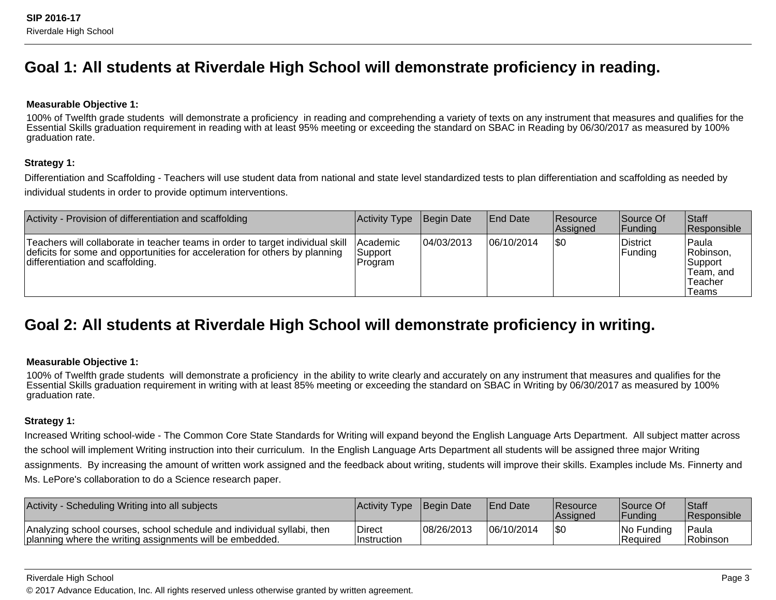## **Goal 1: All students at Riverdale High School will demonstrate proficiency in reading.**

### **Measurable Objective 1:**

100% of Twelfth grade students will demonstrate a proficiency in reading and comprehending a variety of texts on any instrument that measures and qualifies for theEssential Skills graduation requirement in reading with at least 95% meeting or exceeding the standard on SBAC in Reading by 06/30/2017 as measured by 100%graduation rate.

### **Strategy 1:**

Differentiation and Scaffolding - Teachers will use student data from national and state level standardized tests to plan differentiation and scaffolding as needed byindividual students in order to provide optimum interventions.

| Activity - Provision of differentiation and scaffolding                                                                                                                                           | Activity Type                         | Begin Date | <b>End Date</b> | <b>Resource</b><br>Assigned | Source Of<br> Funding | <b>Staff</b><br>Responsible                                    |
|---------------------------------------------------------------------------------------------------------------------------------------------------------------------------------------------------|---------------------------------------|------------|-----------------|-----------------------------|-----------------------|----------------------------------------------------------------|
| Teachers will collaborate in teacher teams in order to target individual skill<br>deficits for some and opportunities for acceleration for others by planning<br>differentiation and scaffolding. | <b>Academic</b><br>Support<br>Program | 04/03/2013 | 06/10/2014      | 1\$0                        | District<br> Funding  | Paula<br>Robinson,<br>Support<br>Team. and<br>Teacher<br>Teams |

## **Goal 2: All students at Riverdale High School will demonstrate proficiency in writing.**

### **Measurable Objective 1:**

100% of Twelfth grade students will demonstrate a proficiency in the ability to write clearly and accurately on any instrument that measures and qualifies for the Essential Skills graduation requirement in writing with at least 85% meeting or exceeding the standard on SBAC in Writing by 06/30/2017 as measured by 100%graduation rate.

## **Strategy 1:**

Increased Writing school-wide - The Common Core State Standards for Writing will expand beyond the English Language Arts Department. All subject matter acrossthe school will implement Writing instruction into their curriculum. In the English Language Arts Department all students will be assigned three major Writingassignments. By increasing the amount of written work assigned and the feedback about writing, students will improve their skills. Examples include Ms. Finnerty andMs. LePore's collaboration to do a Science research paper.

| <b>Activity</b><br>y - Scheduling Writing into all subjects                                                                        | Activity Type Begin Date     |            | <b>IEnd Date</b> | <b>Resource</b><br><b>IAssigned</b> | <b>Source Of</b><br> Fundina | Staff<br><b>Responsible</b> |
|------------------------------------------------------------------------------------------------------------------------------------|------------------------------|------------|------------------|-------------------------------------|------------------------------|-----------------------------|
| Analyzing school courses, school schedule and individual syllabi, then<br>planning where the writing assignments will be embedded. | <b>Direct</b><br>Instruction | 08/26/2013 | 06/10/2014       | I\$0                                | No Funding<br> Reauired      | lPaula<br>Robinson          |

#### Riverdale High School

© 2017 Advance Education, Inc. All rights reserved unless otherwise granted by written agreement.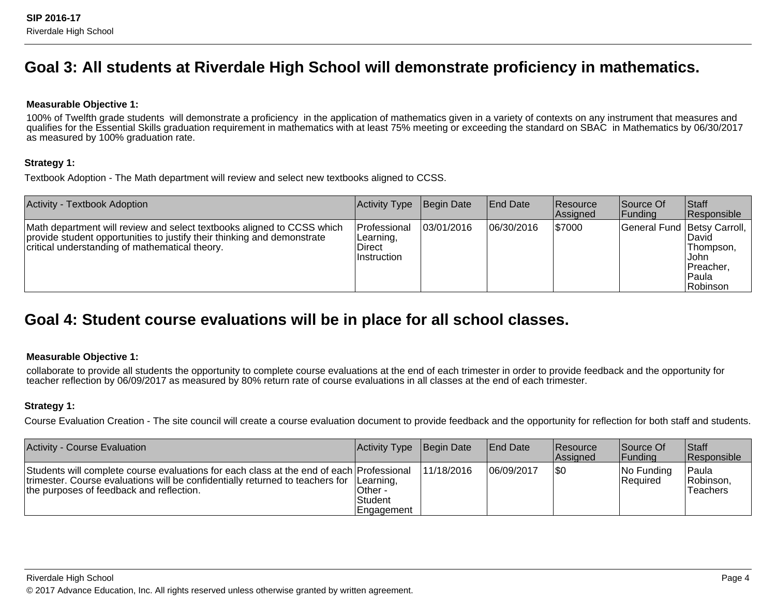## **Goal 3: All students at Riverdale High School will demonstrate proficiency in mathematics.**

### **Measurable Objective 1:**

100% of Twelfth grade students will demonstrate a proficiency in the application of mathematics given in a variety of contexts on any instrument that measures and qualifies for the Essential Skills graduation requirement in mathematics with at least 75% meeting or exceeding the standard on SBAC in Mathematics by 06/30/2017as measured by 100% graduation rate.

### **Strategy 1:**

Textbook Adoption - The Math department will review and select new textbooks aligned to CCSS.

| <b>Activity - Textbook Adoption</b>                                                                                                                                                                 | <b>Activity Type</b>                                      | Begin Date | <b>End Date</b> | <b>Resource</b><br>Assigned | Source Of<br> Funding         | <b>Staff</b><br>Responsible                                    |
|-----------------------------------------------------------------------------------------------------------------------------------------------------------------------------------------------------|-----------------------------------------------------------|------------|-----------------|-----------------------------|-------------------------------|----------------------------------------------------------------|
| Math department will review and select textbooks aligned to CCSS which<br>provide student opportunities to justify their thinking and demonstrate<br>critical understanding of mathematical theory. | <b>Professional</b><br>Learning,<br>Direct<br>Instruction | 03/01/2016 | 06/30/2016      | \$7000                      | General Fund   Betsy Carroll, | ⊺Da∨id<br>Thompson.<br>IJohn<br>Preacher.<br>Paula<br>Robinson |

## **Goal 4: Student course evaluations will be in place for all school classes.**

### **Measurable Objective 1:**

collaborate to provide all students the opportunity to complete course evaluations at the end of each trimester in order to provide feedback and the opportunity forteacher reflection by 06/09/2017 as measured by 80% return rate of course evaluations in all classes at the end of each trimester.

### **Strategy 1:**

Course Evaluation Creation - The site council will create a course evaluation document to provide feedback and the opportunity for reflection for both staff and students.

| Activity - Course Evaluation                                                                                                                                                                                                    | Activity Type                           | Begin Date | <b>End Date</b> | <b>Resource</b><br>Assigned | Source Of<br> Funding            | <b>Staff</b><br>Responsible     |
|---------------------------------------------------------------------------------------------------------------------------------------------------------------------------------------------------------------------------------|-----------------------------------------|------------|-----------------|-----------------------------|----------------------------------|---------------------------------|
| Students will complete course evaluations for each class at the end of each Professional<br>trimester. Course evaluations will be confidentially returned to teachers for Learning,<br>the purposes of feedback and reflection. | Other -<br><b>Student</b><br>Engagement | 11/18/2016 | 106/09/2017     | \$0                         | $ No$ Funding<br><b>Required</b> | `Paula<br>Robinson,<br>Teachers |